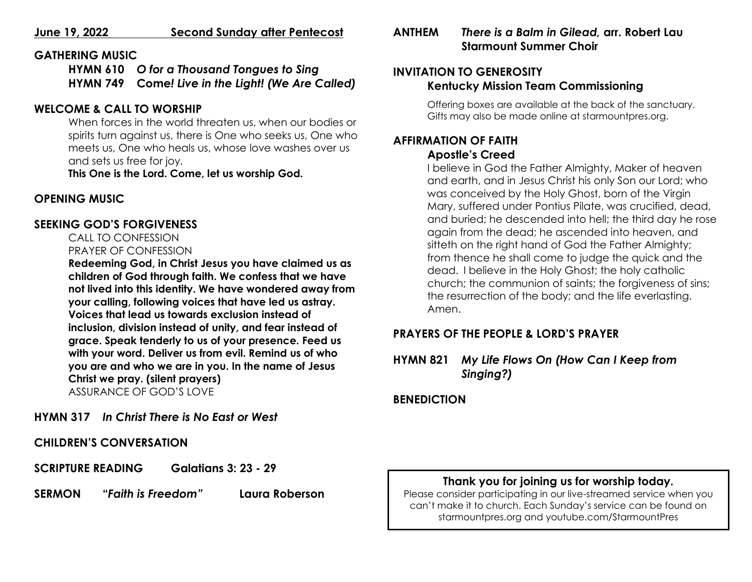### **June 19, 2022 Second Sunday after Pentecost**

### **GATHERING MUSIC**

**HYMN 610** *O for a Thousand Tongues to Sing* **HYMN 749 Come***! Live in the Light! (We Are Called)*

## **WELCOME & CALL TO WORSHIP**

When forces in the world threaten us, when our bodies or spirits turn against us, there is One who seeks us, One who meets us, One who heals us, whose love washes over us and sets us free for joy.

**This One is the Lord. Come, let us worship God.**

## **OPENING MUSIC**

## **SEEKING GOD'S FORGIVENESS**

     CALL TO CONFESSION        PRAYER OF CONFESSION

**Redeeming God, in Christ Jesus you have claimed us as children of God through faith. We confess that we have not lived into this identity. We have wondered away from your calling, following voices that have led us astray. Voices that lead us towards exclusion instead of inclusion, division instead of unity, and fear instead of grace. Speak tenderly to us of your presence. Feed us with your word. Deliver us from evil. Remind us of who you are and who we are in you. In the name of Jesus Christ we pray. (silent prayers)**  ASSURANCE OF GOD'S LOVE

**HYMN 317** *In Christ There is No East or West*

**CHILDREN'S CONVERSATION**

**SCRIPTURE READING Galatians 3: 23 - 29**

**SERMON "***Faith is Freedom"* **Laura Roberson**

# **ANTHEM** *There is a Balm in Gilead,* **arr. Robert Lau Starmount Summer Choir**

## **INVITATION TO GENEROSITY Kentucky Mission Team Commissioning**

Offering boxes are available at the back of the sanctuary. Gifts may also be made online at starmountpres.org.

### **AFFIRMATION OF FAITH Apostle's Creed**

I believe in God the Father Almighty, Maker of heaven and earth, and in Jesus Christ his only Son our Lord; who was conceived by the Holy Ghost, born of the Virgin Mary, suffered under Pontius Pilate, was crucified, dead, and buried; he descended into hell; the third day he rose again from the dead; he ascended into heaven, and sitteth on the right hand of God the Father Almighty; from thence he shall come to judge the quick and the dead. I believe in the Holy Ghost; the holy catholic church; the communion of saints; the forgiveness of sins; the resurrection of the body; and the life everlasting. Amen.

# **PRAYERS OF THE PEOPLE & LORD'S PRAYER**

**HYMN 821** *My Life Flows On (How Can I Keep from Singing?)*

## **BENEDICTION**

# **Thank you for joining us for worship today.**

Please consider participating in our live-streamed service when you can't make it to church. Each Sunday's service can be found on starmountpres.org and youtube.com/StarmountPres